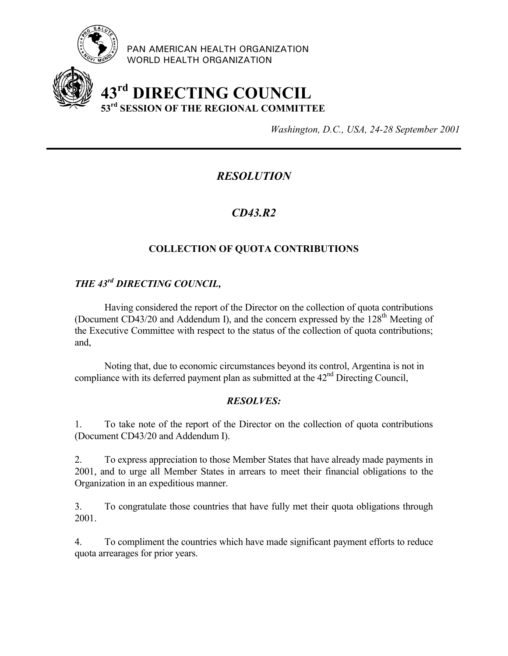

PAN AMERICAN HEALTH ORGANIZATION WORLD HEALTH ORGANIZATION

# **43rd DIRECTING COUNCIL 53rd SESSION OF THE REGIONAL COMMITTEE**

*Washington, D.C., USA, 24-28 September 2001*

## *RESOLUTION*

## *CD43.R2*

### **COLLECTION OF QUOTA CONTRIBUTIONS**

## *THE 43rd DIRECTING COUNCIL,*

Having considered the report of the Director on the collection of quota contributions (Document CD43/20 and Addendum I), and the concern expressed by the  $128<sup>th</sup>$  Meeting of the Executive Committee with respect to the status of the collection of quota contributions; and,

Noting that, due to economic circumstances beyond its control, Argentina is not in compliance with its deferred payment plan as submitted at the  $42<sup>nd</sup>$  Directing Council,

#### *RESOLVES:*

1. To take note of the report of the Director on the collection of quota contributions (Document CD43/20 and Addendum I).

2. To express appreciation to those Member States that have already made payments in 2001, and to urge all Member States in arrears to meet their financial obligations to the Organization in an expeditious manner.

3. To congratulate those countries that have fully met their quota obligations through 2001.

4. To compliment the countries which have made significant payment efforts to reduce quota arrearages for prior years.